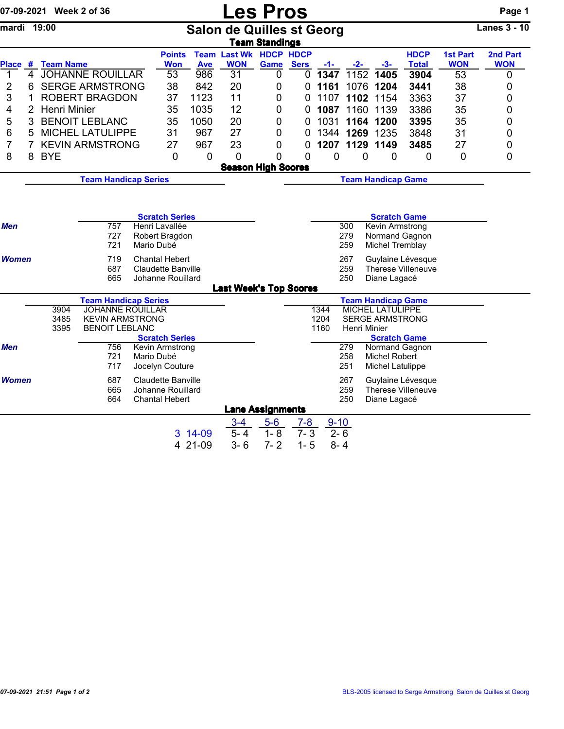|                     |                                                                                                                                                  | 07-09-2021 Week 2 of 36                                         |                                                   |            |                                            |            | <b>Les Pros</b>                  |                                                        |                                                        |              |                |                           |                    |                 | Page 1              |  |  |
|---------------------|--------------------------------------------------------------------------------------------------------------------------------------------------|-----------------------------------------------------------------|---------------------------------------------------|------------|--------------------------------------------|------------|----------------------------------|--------------------------------------------------------|--------------------------------------------------------|--------------|----------------|---------------------------|--------------------|-----------------|---------------------|--|--|
| mardi 19:00         |                                                                                                                                                  |                                                                 |                                                   |            |                                            |            | <b>Salon de Quilles st Georg</b> | <b>Team Standings</b>                                  |                                                        |              |                |                           |                    |                 | <b>Lanes 3 - 10</b> |  |  |
|                     |                                                                                                                                                  |                                                                 |                                                   |            | <b>Points</b>                              |            | <b>Team Last Wk HDCP HDCP</b>    |                                                        |                                                        |              |                |                           | <b>HDCP</b>        | <b>1st Part</b> | 2nd Part            |  |  |
|                     |                                                                                                                                                  | Place # Team Name                                               |                                                   |            | Won                                        | <b>Ave</b> | <b>WON</b>                       | Game                                                   | <b>Sers</b>                                            | $-1-$        | $-2-$          | -3-                       | <b>Total</b>       | <b>WON</b>      | <b>WON</b>          |  |  |
| 1<br>$\overline{2}$ | $\overline{4}$<br>6                                                                                                                              |                                                                 | <b>JOHANNE ROUILLAR</b><br><b>SERGE ARMSTRONG</b> |            | 53<br>38                                   | 986<br>842 | 31<br>20                         | 0<br>0                                                 | 0                                                      | 1347<br>1161 | 1152<br>1076   | 1405<br>1204              | 3904<br>3441       | 53<br>38        | 0                   |  |  |
| 3                   | 1                                                                                                                                                |                                                                 | <b>ROBERT BRAGDON</b>                             |            | 37                                         | 1123       | 11                               | 0                                                      | 0<br>0                                                 | 1107         | 1102           | 1154                      | 3363               | 37              | 0<br>0              |  |  |
| 4                   | 2                                                                                                                                                | <b>Henri Minier</b>                                             |                                                   |            | 35                                         | 1035       | 12                               | 0                                                      | 0                                                      | 1087         | 1160           | 1139                      | 3386               | 35              | 0                   |  |  |
| 5                   | 3                                                                                                                                                |                                                                 | <b>BENOIT LEBLANC</b>                             |            | 35                                         | 1050       | 20                               | 0                                                      | 0                                                      | 1031         | 1164           | 1200                      | 3395               | 35              | 0                   |  |  |
| 6                   | 5                                                                                                                                                |                                                                 | <b>MICHEL LATULIPPE</b>                           |            | 31                                         | 967        | 27                               | 0                                                      | 0                                                      |              | 1344 1269 1235 |                           | 3848               | 31              | 0                   |  |  |
| 7                   | $\overline{7}$                                                                                                                                   |                                                                 | <b>KEVIN ARMSTRONG</b>                            |            | 27                                         | 967        | 23                               | 0                                                      | 0                                                      |              | 1207 1129 1149 |                           | 3485               | 27              | 0                   |  |  |
| 8                   | 8                                                                                                                                                | <b>BYE</b>                                                      |                                                   |            | 0                                          | $\Omega$   | $\mathbf 0$                      | $\Omega$                                               | $\mathbf 0$                                            | 0            | 0              | 0                         | $\mathbf 0$        | 0               | 0                   |  |  |
|                     |                                                                                                                                                  |                                                                 |                                                   |            |                                            |            |                                  |                                                        |                                                        |              |                |                           |                    |                 |                     |  |  |
|                     | <b>Team Handicap Series</b>                                                                                                                      |                                                                 |                                                   |            |                                            |            |                                  | <b>Season High Scores</b><br><b>Team Handicap Game</b> |                                                        |              |                |                           |                    |                 |                     |  |  |
|                     |                                                                                                                                                  |                                                                 |                                                   |            |                                            |            |                                  |                                                        |                                                        |              |                |                           |                    |                 |                     |  |  |
|                     |                                                                                                                                                  |                                                                 |                                                   |            |                                            |            |                                  |                                                        |                                                        |              |                |                           |                    |                 |                     |  |  |
|                     |                                                                                                                                                  |                                                                 |                                                   |            | <b>Scratch Series</b>                      |            |                                  |                                                        |                                                        |              |                | <b>Scratch Game</b>       |                    |                 |                     |  |  |
| Men                 |                                                                                                                                                  |                                                                 | 757                                               |            | Henri Lavallée                             |            |                                  |                                                        |                                                        |              | 300            | Kevin Armstrong           |                    |                 |                     |  |  |
|                     |                                                                                                                                                  |                                                                 | 727                                               |            | Robert Bragdon                             |            |                                  |                                                        |                                                        |              | 279            |                           | Normand Gagnon     |                 |                     |  |  |
|                     |                                                                                                                                                  |                                                                 | 721                                               | Mario Dubé |                                            |            |                                  |                                                        |                                                        |              | 259            | Michel Tremblay           |                    |                 |                     |  |  |
|                     | 719<br><b>Women</b><br><b>Chantal Hebert</b><br>267<br>Guylaine Lévesque<br>687<br><b>Claudette Banville</b><br>259<br><b>Therese Villeneuve</b> |                                                                 |                                                   |            |                                            |            |                                  |                                                        |                                                        |              |                |                           |                    |                 |                     |  |  |
|                     |                                                                                                                                                  |                                                                 | 665                                               |            | Johanne Rouillard                          |            |                                  |                                                        |                                                        |              | 250            | Diane Lagacé              |                    |                 |                     |  |  |
|                     |                                                                                                                                                  |                                                                 |                                                   |            |                                            |            | <b>Last Week's Top Scores</b>    |                                                        |                                                        |              |                |                           |                    |                 |                     |  |  |
|                     |                                                                                                                                                  |                                                                 | <b>Team Handicap Series</b>                       |            |                                            |            |                                  |                                                        |                                                        |              |                | <b>Team Handicap Game</b> |                    |                 |                     |  |  |
|                     |                                                                                                                                                  | 3904                                                            | <b>JOHANNE ROUILLAR</b>                           |            |                                            |            |                                  |                                                        |                                                        | 1344         |                | MICHEL LATULIPPE          |                    |                 |                     |  |  |
|                     |                                                                                                                                                  | <b>KEVIN ARMSTRONG</b><br>3485<br><b>BENOIT LEBLANC</b><br>3395 |                                                   |            |                                            |            |                                  |                                                        | 1204<br><b>SERGE ARMSTRONG</b><br>1160<br>Henri Minier |              |                |                           |                    |                 |                     |  |  |
|                     |                                                                                                                                                  |                                                                 |                                                   |            | <b>Scratch Series</b>                      |            |                                  |                                                        |                                                        |              |                | <b>Scratch Game</b>       |                    |                 |                     |  |  |
| Men                 |                                                                                                                                                  |                                                                 | 756                                               |            | Kevin Armstrong                            |            |                                  |                                                        |                                                        |              | 279            |                           | Normand Gagnon     |                 |                     |  |  |
|                     |                                                                                                                                                  |                                                                 | 721                                               | Mario Dubé |                                            |            |                                  |                                                        |                                                        |              | 258            | Michel Robert             |                    |                 |                     |  |  |
|                     |                                                                                                                                                  |                                                                 | 717                                               |            | Jocelyn Couture                            |            |                                  |                                                        |                                                        |              | 251            | Michel Latulippe          |                    |                 |                     |  |  |
| <b>Women</b>        |                                                                                                                                                  |                                                                 | 687                                               |            | <b>Claudette Banville</b>                  |            |                                  |                                                        |                                                        |              | 267            |                           | Guylaine Lévesque  |                 |                     |  |  |
|                     |                                                                                                                                                  |                                                                 | 665<br>664                                        |            | Johanne Rouillard<br><b>Chantal Hebert</b> |            |                                  |                                                        |                                                        |              | 259<br>250     | Diane Lagacé              | Therese Villeneuve |                 |                     |  |  |
|                     |                                                                                                                                                  |                                                                 |                                                   |            |                                            |            | <b>Lane Assignments</b>          |                                                        |                                                        |              |                |                           |                    |                 |                     |  |  |
|                     |                                                                                                                                                  |                                                                 |                                                   |            |                                            |            | $3 - 4$                          | $5-6$                                                  | $7 - 8$                                                | $9 - 10$     |                |                           |                    |                 |                     |  |  |
|                     |                                                                                                                                                  |                                                                 |                                                   |            |                                            | 3 14-09    | $5 - 4$                          | $1 - 8$                                                | $7 - 3$                                                | $2 - 6$      |                |                           |                    |                 |                     |  |  |

4 21-09 3- 6 7- 2 1- 5 8- 4